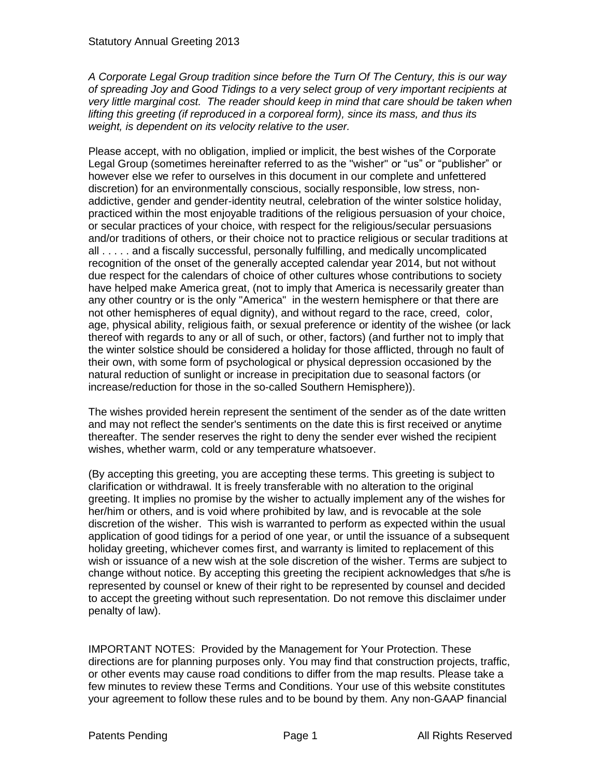*A Corporate Legal Group tradition since before the Turn Of The Century, this is our way of spreading Joy and Good Tidings to a very select group of very important recipients at very little marginal cost. The reader should keep in mind that care should be taken when lifting this greeting (if reproduced in a corporeal form), since its mass, and thus its weight, is dependent on its velocity relative to the user.*

Please accept, with no obligation, implied or implicit, the best wishes of the Corporate Legal Group (sometimes hereinafter referred to as the "wisher" or "us" or "publisher" or however else we refer to ourselves in this document in our complete and unfettered discretion) for an environmentally conscious, socially responsible, low stress, nonaddictive, gender and gender-identity neutral, celebration of the winter solstice holiday, practiced within the most enjoyable traditions of the religious persuasion of your choice, or secular practices of your choice, with respect for the religious/secular persuasions and/or traditions of others, or their choice not to practice religious or secular traditions at all . . . . . and a fiscally successful, personally fulfilling, and medically uncomplicated recognition of the onset of the generally accepted calendar year 2014, but not without due respect for the calendars of choice of other cultures whose contributions to society have helped make America great, (not to imply that America is necessarily greater than any other country or is the only "America" in the western hemisphere or that there are not other hemispheres of equal dignity), and without regard to the race, creed, color, age, physical ability, religious faith, or sexual preference or identity of the wishee (or lack thereof with regards to any or all of such, or other, factors) (and further not to imply that the winter solstice should be considered a holiday for those afflicted, through no fault of their own, with some form of psychological or physical depression occasioned by the natural reduction of sunlight or increase in precipitation due to seasonal factors (or increase/reduction for those in the so-called Southern Hemisphere)).

The wishes provided herein represent the sentiment of the sender as of the date written and may not reflect the sender's sentiments on the date this is first received or anytime thereafter. The sender reserves the right to deny the sender ever wished the recipient wishes, whether warm, cold or any temperature whatsoever.

(By accepting this greeting, you are accepting these terms. This greeting is subject to clarification or withdrawal. It is freely transferable with no alteration to the original greeting. It implies no promise by the wisher to actually implement any of the wishes for her/him or others, and is void where prohibited by law, and is revocable at the sole discretion of the wisher. This wish is warranted to perform as expected within the usual application of good tidings for a period of one year, or until the issuance of a subsequent holiday greeting, whichever comes first, and warranty is limited to replacement of this wish or issuance of a new wish at the sole discretion of the wisher. Terms are subject to change without notice. By accepting this greeting the recipient acknowledges that s/he is represented by counsel or knew of their right to be represented by counsel and decided to accept the greeting without such representation. Do not remove this disclaimer under penalty of law).

IMPORTANT NOTES: Provided by the Management for Your Protection. These directions are for planning purposes only. You may find that construction projects, traffic, or other events may cause road conditions to differ from the map results. Please take a few minutes to review these Terms and Conditions. Your use of this website constitutes your agreement to follow these rules and to be bound by them. Any non-GAAP financial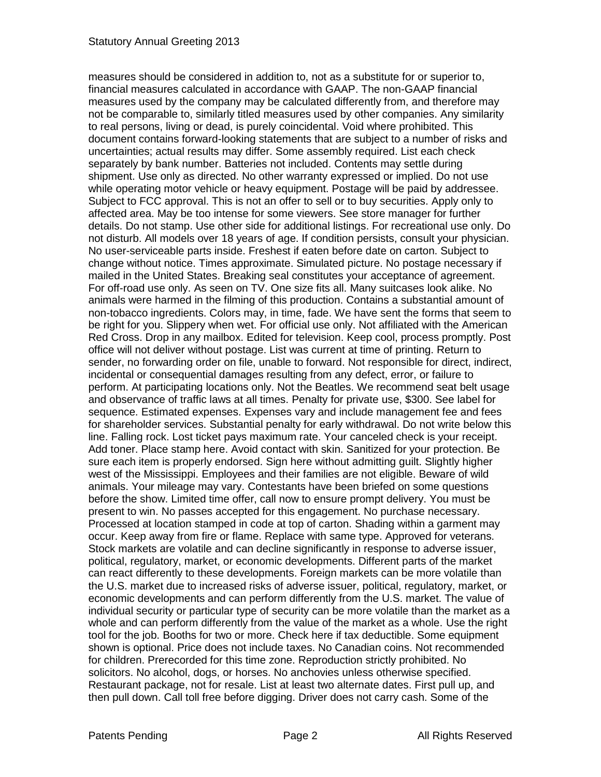measures should be considered in addition to, not as a substitute for or superior to, financial measures calculated in accordance with GAAP. The non-GAAP financial measures used by the company may be calculated differently from, and therefore may not be comparable to, similarly titled measures used by other companies. Any similarity to real persons, living or dead, is purely coincidental. Void where prohibited. This document contains forward-looking statements that are subject to a number of risks and uncertainties; actual results may differ. Some assembly required. List each check separately by bank number. Batteries not included. Contents may settle during shipment. Use only as directed. No other warranty expressed or implied. Do not use while operating motor vehicle or heavy equipment. Postage will be paid by addressee. Subject to FCC approval. This is not an offer to sell or to buy securities. Apply only to affected area. May be too intense for some viewers. See store manager for further details. Do not stamp. Use other side for additional listings. For recreational use only. Do not disturb. All models over 18 years of age. If condition persists, consult your physician. No user-serviceable parts inside. Freshest if eaten before date on carton. Subject to change without notice. Times approximate. Simulated picture. No postage necessary if mailed in the United States. Breaking seal constitutes your acceptance of agreement. For off-road use only. As seen on TV. One size fits all. Many suitcases look alike. No animals were harmed in the filming of this production. Contains a substantial amount of non-tobacco ingredients. Colors may, in time, fade. We have sent the forms that seem to be right for you. Slippery when wet. For official use only. Not affiliated with the American Red Cross. Drop in any mailbox. Edited for television. Keep cool, process promptly. Post office will not deliver without postage. List was current at time of printing. Return to sender, no forwarding order on file, unable to forward. Not responsible for direct, indirect, incidental or consequential damages resulting from any defect, error, or failure to perform. At participating locations only. Not the Beatles. We recommend seat belt usage and observance of traffic laws at all times. Penalty for private use, \$300. See label for sequence. Estimated expenses. Expenses vary and include management fee and fees for shareholder services. Substantial penalty for early withdrawal. Do not write below this line. Falling rock. Lost ticket pays maximum rate. Your canceled check is your receipt. Add toner. Place stamp here. Avoid contact with skin. Sanitized for your protection. Be sure each item is properly endorsed. Sign here without admitting guilt. Slightly higher west of the Mississippi. Employees and their families are not eligible. Beware of wild animals. Your mileage may vary. Contestants have been briefed on some questions before the show. Limited time offer, call now to ensure prompt delivery. You must be present to win. No passes accepted for this engagement. No purchase necessary. Processed at location stamped in code at top of carton. Shading within a garment may occur. Keep away from fire or flame. Replace with same type. Approved for veterans. Stock markets are volatile and can decline significantly in response to adverse issuer, political, regulatory, market, or economic developments. Different parts of the market can react differently to these developments. Foreign markets can be more volatile than the U.S. market due to increased risks of adverse issuer, political, regulatory, market, or economic developments and can perform differently from the U.S. market. The value of individual security or particular type of security can be more volatile than the market as a whole and can perform differently from the value of the market as a whole. Use the right tool for the job. Booths for two or more. Check here if tax deductible. Some equipment shown is optional. Price does not include taxes. No Canadian coins. Not recommended for children. Prerecorded for this time zone. Reproduction strictly prohibited. No solicitors. No alcohol, dogs, or horses. No anchovies unless otherwise specified. Restaurant package, not for resale. List at least two alternate dates. First pull up, and then pull down. Call toll free before digging. Driver does not carry cash. Some of the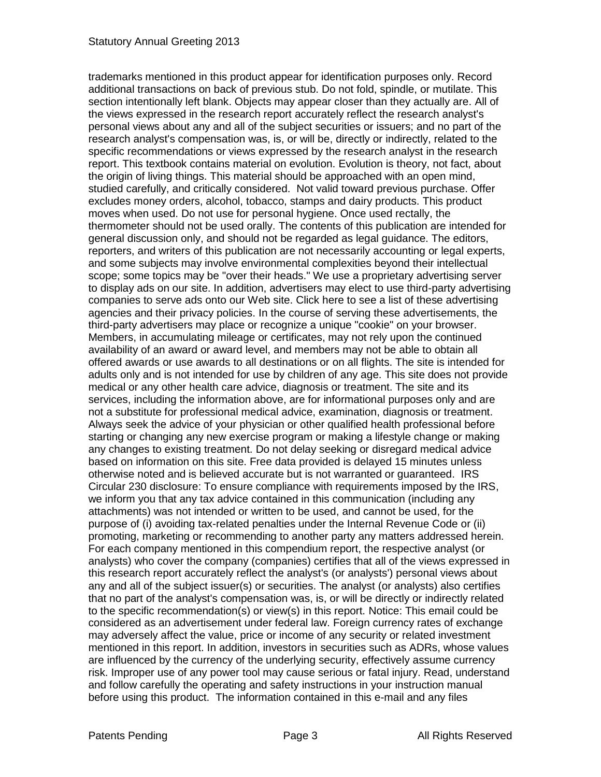trademarks mentioned in this product appear for identification purposes only. Record additional transactions on back of previous stub. Do not fold, spindle, or mutilate. This section intentionally left blank. Objects may appear closer than they actually are. All of the views expressed in the research report accurately reflect the research analyst's personal views about any and all of the subject securities or issuers; and no part of the research analyst's compensation was, is, or will be, directly or indirectly, related to the specific recommendations or views expressed by the research analyst in the research report. This textbook contains material on evolution. Evolution is theory, not fact, about the origin of living things. This material should be approached with an open mind, studied carefully, and critically considered. Not valid toward previous purchase. Offer excludes money orders, alcohol, tobacco, stamps and dairy products. This product moves when used. Do not use for personal hygiene. Once used rectally, the thermometer should not be used orally. The contents of this publication are intended for general discussion only, and should not be regarded as legal guidance. The editors, reporters, and writers of this publication are not necessarily accounting or legal experts, and some subjects may involve environmental complexities beyond their intellectual scope; some topics may be "over their heads." We use a proprietary advertising server to display ads on our site. In addition, advertisers may elect to use third-party advertising companies to serve ads onto our Web site. Click here to see a list of these advertising agencies and their privacy policies. In the course of serving these advertisements, the third-party advertisers may place or recognize a unique "cookie" on your browser. Members, in accumulating mileage or certificates, may not rely upon the continued availability of an award or award level, and members may not be able to obtain all offered awards or use awards to all destinations or on all flights. The site is intended for adults only and is not intended for use by children of any age. This site does not provide medical or any other health care advice, diagnosis or treatment. The site and its services, including the information above, are for informational purposes only and are not a substitute for professional medical advice, examination, diagnosis or treatment. Always seek the advice of your physician or other qualified health professional before starting or changing any new exercise program or making a lifestyle change or making any changes to existing treatment. Do not delay seeking or disregard medical advice based on information on this site. Free data provided is delayed 15 minutes unless otherwise noted and is believed accurate but is not warranted or guaranteed. IRS Circular 230 disclosure: To ensure compliance with requirements imposed by the IRS, we inform you that any tax advice contained in this communication (including any attachments) was not intended or written to be used, and cannot be used, for the purpose of (i) avoiding tax-related penalties under the Internal Revenue Code or (ii) promoting, marketing or recommending to another party any matters addressed herein. For each company mentioned in this compendium report, the respective analyst (or analysts) who cover the company (companies) certifies that all of the views expressed in this research report accurately reflect the analyst's (or analysts') personal views about any and all of the subject issuer(s) or securities. The analyst (or analysts) also certifies that no part of the analyst's compensation was, is, or will be directly or indirectly related to the specific recommendation(s) or view(s) in this report. Notice: This email could be considered as an advertisement under federal law. Foreign currency rates of exchange may adversely affect the value, price or income of any security or related investment mentioned in this report. In addition, investors in securities such as ADRs, whose values are influenced by the currency of the underlying security, effectively assume currency risk. Improper use of any power tool may cause serious or fatal injury. Read, understand and follow carefully the operating and safety instructions in your instruction manual before using this product. The information contained in this e-mail and any files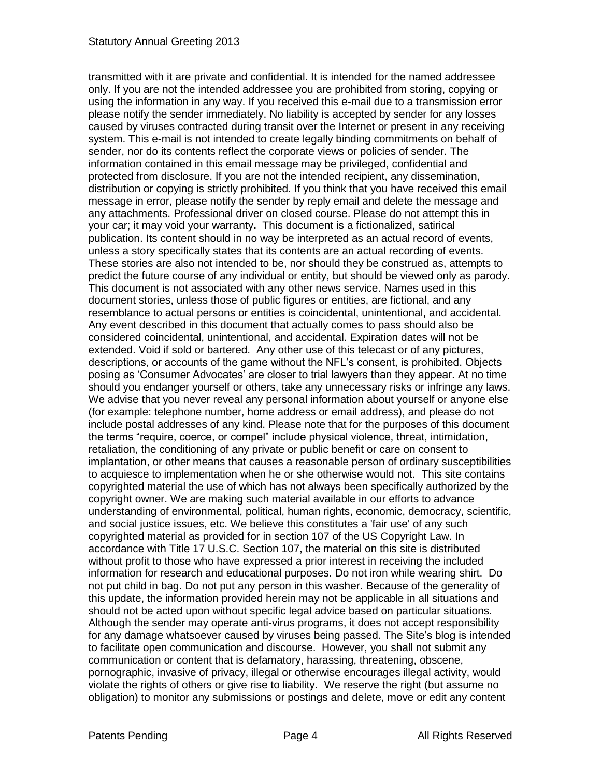transmitted with it are private and confidential. It is intended for the named addressee only. If you are not the intended addressee you are prohibited from storing, copying or using the information in any way. If you received this e-mail due to a transmission error please notify the sender immediately. No liability is accepted by sender for any losses caused by viruses contracted during transit over the Internet or present in any receiving system. This e-mail is not intended to create legally binding commitments on behalf of sender, nor do its contents reflect the corporate views or policies of sender. The information contained in this email message may be privileged, confidential and protected from disclosure. If you are not the intended recipient, any dissemination, distribution or copying is strictly prohibited. If you think that you have received this email message in error, please notify the sender by reply email and delete the message and any attachments. Professional driver on closed course. Please do not attempt this in your car; it may void your warranty**.** This document is a fictionalized, satirical publication. Its content should in no way be interpreted as an actual record of events, unless a story specifically states that its contents are an actual recording of events. These stories are also not intended to be, nor should they be construed as, attempts to predict the future course of any individual or entity, but should be viewed only as parody. This document is not associated with any other news service. Names used in this document stories, unless those of public figures or entities, are fictional, and any resemblance to actual persons or entities is coincidental, unintentional, and accidental. Any event described in this document that actually comes to pass should also be considered coincidental, unintentional, and accidental. Expiration dates will not be extended. Void if sold or bartered. Any other use of this telecast or of any pictures, descriptions, or accounts of the game without the NFL's consent, is prohibited. Objects posing as 'Consumer Advocates' are closer to trial lawyers than they appear. At no time should you endanger yourself or others, take any unnecessary risks or infringe any laws. We advise that you never reveal any personal information about yourself or anyone else (for example: telephone number, home address or email address), and please do not include postal addresses of any kind. Please note that for the purposes of this document the terms "require, coerce, or compel" include physical violence, threat, intimidation, retaliation, the conditioning of any private or public benefit or care on consent to implantation, or other means that causes a reasonable person of ordinary susceptibilities to acquiesce to implementation when he or she otherwise would not. This site contains copyrighted material the use of which has not always been specifically authorized by the copyright owner. We are making such material available in our efforts to advance understanding of environmental, political, human rights, economic, democracy, scientific, and social justice issues, etc. We believe this constitutes a 'fair use' of any such copyrighted material as provided for in section 107 of the US Copyright Law. In accordance with Title 17 U.S.C. Section 107, the material on this site is distributed without profit to those who have expressed a prior interest in receiving the included information for research and educational purposes. Do not iron while wearing shirt. Do not put child in bag. Do not put any person in this washer. Because of the generality of this update, the information provided herein may not be applicable in all situations and should not be acted upon without specific legal advice based on particular situations. Although the sender may operate anti-virus programs, it does not accept responsibility for any damage whatsoever caused by viruses being passed. The Site's blog is intended to facilitate open communication and discourse. However, you shall not submit any communication or content that is defamatory, harassing, threatening, obscene, pornographic, invasive of privacy, illegal or otherwise encourages illegal activity, would violate the rights of others or give rise to liability. We reserve the right (but assume no obligation) to monitor any submissions or postings and delete, move or edit any content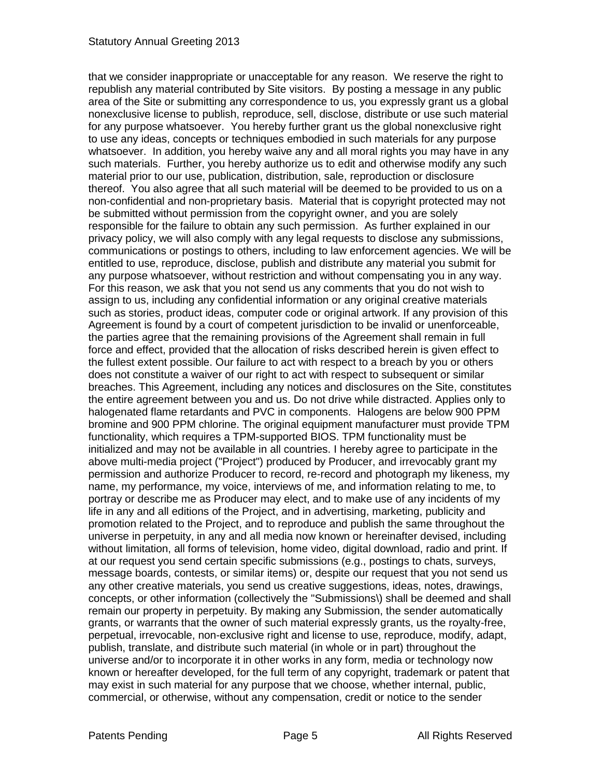that we consider inappropriate or unacceptable for any reason. We reserve the right to republish any material contributed by Site visitors. By posting a message in any public area of the Site or submitting any correspondence to us, you expressly grant us a global nonexclusive license to publish, reproduce, sell, disclose, distribute or use such material for any purpose whatsoever. You hereby further grant us the global nonexclusive right to use any ideas, concepts or techniques embodied in such materials for any purpose whatsoever. In addition, you hereby waive any and all moral rights you may have in any such materials. Further, you hereby authorize us to edit and otherwise modify any such material prior to our use, publication, distribution, sale, reproduction or disclosure thereof. You also agree that all such material will be deemed to be provided to us on a non-confidential and non-proprietary basis. Material that is copyright protected may not be submitted without permission from the copyright owner, and you are solely responsible for the failure to obtain any such permission. As further explained in our privacy policy, we will also comply with any legal requests to disclose any submissions, communications or postings to others, including to law enforcement agencies. We will be entitled to use, reproduce, disclose, publish and distribute any material you submit for any purpose whatsoever, without restriction and without compensating you in any way. For this reason, we ask that you not send us any comments that you do not wish to assign to us, including any confidential information or any original creative materials such as stories, product ideas, computer code or original artwork. If any provision of this Agreement is found by a court of competent jurisdiction to be invalid or unenforceable, the parties agree that the remaining provisions of the Agreement shall remain in full force and effect, provided that the allocation of risks described herein is given effect to the fullest extent possible. Our failure to act with respect to a breach by you or others does not constitute a waiver of our right to act with respect to subsequent or similar breaches. This Agreement, including any notices and disclosures on the Site, constitutes the entire agreement between you and us. Do not drive while distracted. Applies only to halogenated flame retardants and PVC in components. Halogens are below 900 PPM bromine and 900 PPM chlorine. The original equipment manufacturer must provide TPM functionality, which requires a TPM-supported BIOS. TPM functionality must be initialized and may not be available in all countries. I hereby agree to participate in the above multi-media project ("Project") produced by Producer, and irrevocably grant my permission and authorize Producer to record, re-record and photograph my likeness, my name, my performance, my voice, interviews of me, and information relating to me, to portray or describe me as Producer may elect, and to make use of any incidents of my life in any and all editions of the Project, and in advertising, marketing, publicity and promotion related to the Project, and to reproduce and publish the same throughout the universe in perpetuity, in any and all media now known or hereinafter devised, including without limitation, all forms of television, home video, digital download, radio and print. If at our request you send certain specific submissions (e.g., postings to chats, surveys, message boards, contests, or similar items) or, despite our request that you not send us any other creative materials, you send us creative suggestions, ideas, notes, drawings, concepts, or other information (collectively the "Submissions\) shall be deemed and shall remain our property in perpetuity. By making any Submission, the sender automatically grants, or warrants that the owner of such material expressly grants, us the royalty-free, perpetual, irrevocable, non-exclusive right and license to use, reproduce, modify, adapt, publish, translate, and distribute such material (in whole or in part) throughout the universe and/or to incorporate it in other works in any form, media or technology now known or hereafter developed, for the full term of any copyright, trademark or patent that may exist in such material for any purpose that we choose, whether internal, public, commercial, or otherwise, without any compensation, credit or notice to the sender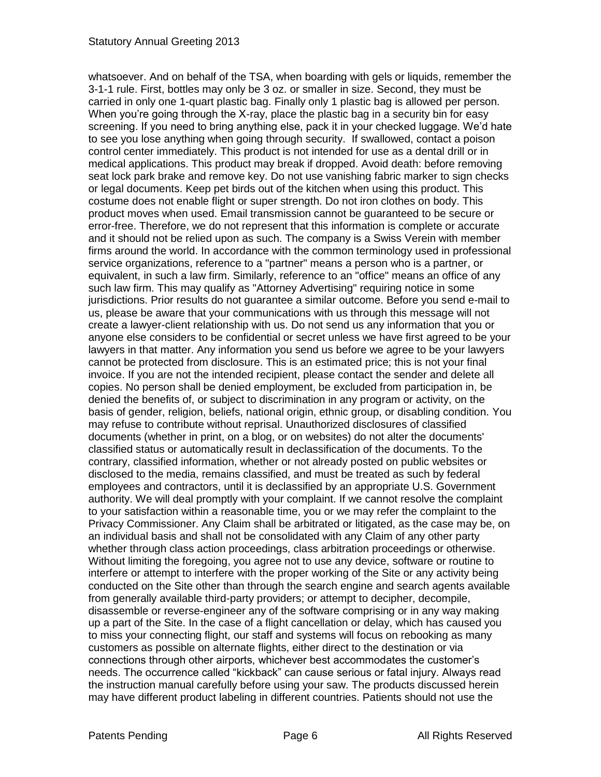whatsoever. And on behalf of the TSA, when boarding with gels or liquids, remember the 3-1-1 rule. First, bottles may only be 3 oz. or smaller in size. Second, they must be carried in only one 1-quart plastic bag. Finally only 1 plastic bag is allowed per person. When you're going through the X-ray, place the plastic bag in a security bin for easy screening. If you need to bring anything else, pack it in your checked luggage. We'd hate to see you lose anything when going through security. If swallowed, contact a poison control center immediately. This product is not intended for use as a dental drill or in medical applications. This product may break if dropped. Avoid death: before removing seat lock park brake and remove key. Do not use vanishing fabric marker to sign checks or legal documents. Keep pet birds out of the kitchen when using this product. This costume does not enable flight or super strength. Do not iron clothes on body. This product moves when used. Email transmission cannot be guaranteed to be secure or error-free. Therefore, we do not represent that this information is complete or accurate and it should not be relied upon as such. The company is a Swiss Verein with member firms around the world. In accordance with the common terminology used in professional service organizations, reference to a "partner" means a person who is a partner, or equivalent, in such a law firm. Similarly, reference to an "office" means an office of any such law firm. This may qualify as "Attorney Advertising" requiring notice in some jurisdictions. Prior results do not guarantee a similar outcome. Before you send e-mail to us, please be aware that your communications with us through this message will not create a lawyer-client relationship with us. Do not send us any information that you or anyone else considers to be confidential or secret unless we have first agreed to be your lawyers in that matter. Any information you send us before we agree to be your lawyers cannot be protected from disclosure. This is an estimated price; this is not your final invoice. If you are not the intended recipient, please contact the sender and delete all copies. No person shall be denied employment, be excluded from participation in, be denied the benefits of, or subject to discrimination in any program or activity, on the basis of gender, religion, beliefs, national origin, ethnic group, or disabling condition. You may refuse to contribute without reprisal. Unauthorized disclosures of classified documents (whether in print, on a blog, or on websites) do not alter the documents' classified status or automatically result in declassification of the documents. To the contrary, classified information, whether or not already posted on public websites or disclosed to the media, remains classified, and must be treated as such by federal employees and contractors, until it is declassified by an appropriate U.S. Government authority. We will deal promptly with your complaint. If we cannot resolve the complaint to your satisfaction within a reasonable time, you or we may refer the complaint to the Privacy Commissioner. Any Claim shall be arbitrated or litigated, as the case may be, on an individual basis and shall not be consolidated with any Claim of any other party whether through class action proceedings, class arbitration proceedings or otherwise. Without limiting the foregoing, you agree not to use any device, software or routine to interfere or attempt to interfere with the proper working of the Site or any activity being conducted on the Site other than through the search engine and search agents available from generally available third-party providers; or attempt to decipher, decompile, disassemble or reverse-engineer any of the software comprising or in any way making up a part of the Site. In the case of a flight cancellation or delay, which has caused you to miss your connecting flight, our staff and systems will focus on rebooking as many customers as possible on alternate flights, either direct to the destination or via connections through other airports, whichever best accommodates the customer's needs. The occurrence called "kickback" can cause serious or fatal injury. Always read the instruction manual carefully before using your saw. The products discussed herein may have different product labeling in different countries. Patients should not use the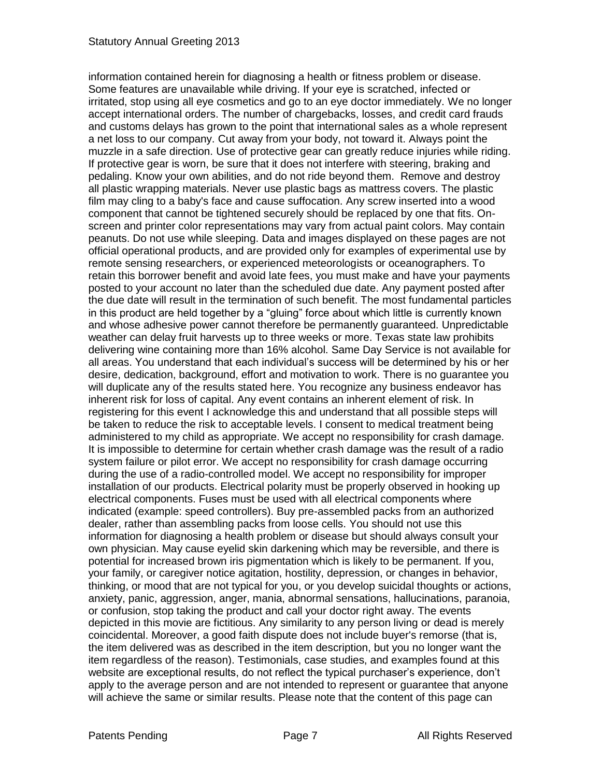information contained herein for diagnosing a health or fitness problem or disease. Some features are unavailable while driving. If your eye is scratched, infected or irritated, stop using all eye cosmetics and go to an eye doctor immediately. We no longer accept international orders. The number of chargebacks, losses, and credit card frauds and customs delays has grown to the point that international sales as a whole represent a net loss to our company. Cut away from your body, not toward it. Always point the muzzle in a safe direction. Use of protective gear can greatly reduce injuries while riding. If protective gear is worn, be sure that it does not interfere with steering, braking and pedaling. Know your own abilities, and do not ride beyond them. Remove and destroy all plastic wrapping materials. Never use plastic bags as mattress covers. The plastic film may cling to a baby's face and cause suffocation. Any screw inserted into a wood component that cannot be tightened securely should be replaced by one that fits. Onscreen and printer color representations may vary from actual paint colors. May contain peanuts. Do not use while sleeping. Data and images displayed on these pages are not official operational products, and are provided only for examples of experimental use by remote sensing researchers, or experienced meteorologists or oceanographers. To retain this borrower benefit and avoid late fees, you must make and have your payments posted to your account no later than the scheduled due date. Any payment posted after the due date will result in the termination of such benefit. The most fundamental particles in this product are held together by a "gluing" force about which little is currently known and whose adhesive power cannot therefore be permanently guaranteed. Unpredictable weather can delay fruit harvests up to three weeks or more. Texas state law prohibits delivering wine containing more than 16% alcohol. Same Day Service is not available for all areas. You understand that each individual's success will be determined by his or her desire, dedication, background, effort and motivation to work. There is no guarantee you will duplicate any of the results stated here. You recognize any business endeavor has inherent risk for loss of capital. Any event contains an inherent element of risk. In registering for this event I acknowledge this and understand that all possible steps will be taken to reduce the risk to acceptable levels. I consent to medical treatment being administered to my child as appropriate. We accept no responsibility for crash damage. It is impossible to determine for certain whether crash damage was the result of a radio system failure or pilot error. We accept no responsibility for crash damage occurring during the use of a radio-controlled model. We accept no responsibility for improper installation of our products. Electrical polarity must be properly observed in hooking up electrical components. Fuses must be used with all electrical components where indicated (example: speed controllers). Buy pre-assembled packs from an authorized dealer, rather than assembling packs from loose cells. You should not use this information for diagnosing a health problem or disease but should always consult your own physician. May cause eyelid skin darkening which may be reversible, and there is potential for increased brown iris pigmentation which is likely to be permanent. If you, your family, or caregiver notice agitation, hostility, depression, or changes in behavior, thinking, or mood that are not typical for you, or you develop suicidal thoughts or actions, anxiety, panic, aggression, anger, mania, abnormal sensations, hallucinations, paranoia, or confusion, stop taking the product and call your doctor right away. The events depicted in this movie are fictitious. Any similarity to any person living or dead is merely coincidental. Moreover, a good faith dispute does not include buyer's remorse (that is, the item delivered was as described in the item description, but you no longer want the item regardless of the reason). Testimonials, case studies, and examples found at this website are exceptional results, do not reflect the typical purchaser's experience, don't apply to the average person and are not intended to represent or guarantee that anyone will achieve the same or similar results. Please note that the content of this page can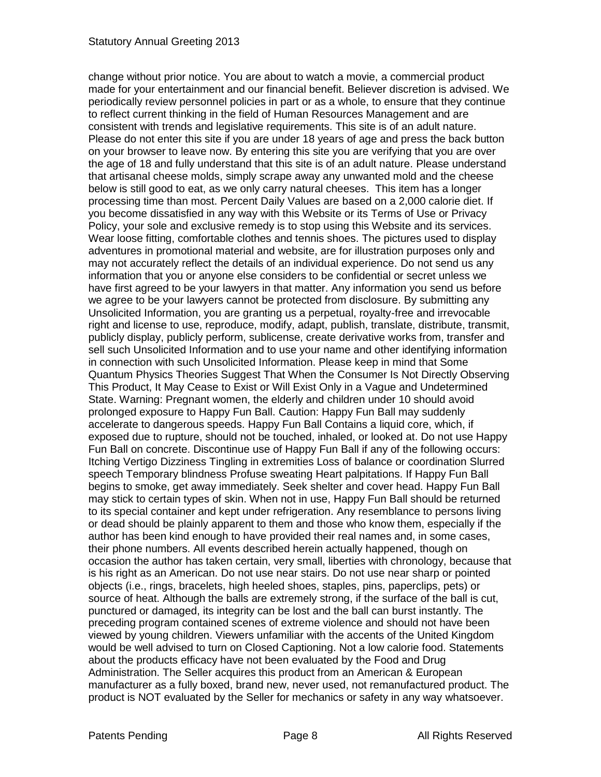change without prior notice. You are about to watch a movie, a commercial product made for your entertainment and our financial benefit. Believer discretion is advised. We periodically review personnel policies in part or as a whole, to ensure that they continue to reflect current thinking in the field of Human Resources Management and are consistent with trends and legislative requirements. This site is of an adult nature. Please do not enter this site if you are under 18 years of age and press the back button on your browser to leave now. By entering this site you are verifying that you are over the age of 18 and fully understand that this site is of an adult nature. Please understand that artisanal cheese molds, simply scrape away any unwanted mold and the cheese below is still good to eat, as we only carry natural cheeses. This item has a longer processing time than most. Percent Daily Values are based on a 2,000 calorie diet. If you become dissatisfied in any way with this Website or its Terms of Use or Privacy Policy, your sole and exclusive remedy is to stop using this Website and its services. Wear loose fitting, comfortable clothes and tennis shoes. The pictures used to display adventures in promotional material and website, are for illustration purposes only and may not accurately reflect the details of an individual experience. Do not send us any information that you or anyone else considers to be confidential or secret unless we have first agreed to be your lawyers in that matter. Any information you send us before we agree to be your lawyers cannot be protected from disclosure. By submitting any Unsolicited Information, you are granting us a perpetual, royalty-free and irrevocable right and license to use, reproduce, modify, adapt, publish, translate, distribute, transmit, publicly display, publicly perform, sublicense, create derivative works from, transfer and sell such Unsolicited Information and to use your name and other identifying information in connection with such Unsolicited Information. Please keep in mind that Some Quantum Physics Theories Suggest That When the Consumer Is Not Directly Observing This Product, It May Cease to Exist or Will Exist Only in a Vague and Undetermined State. Warning: Pregnant women, the elderly and children under 10 should avoid prolonged exposure to Happy Fun Ball. Caution: Happy Fun Ball may suddenly accelerate to dangerous speeds. Happy Fun Ball Contains a liquid core, which, if exposed due to rupture, should not be touched, inhaled, or looked at. Do not use Happy Fun Ball on concrete. Discontinue use of Happy Fun Ball if any of the following occurs: Itching Vertigo Dizziness Tingling in extremities Loss of balance or coordination Slurred speech Temporary blindness Profuse sweating Heart palpitations. If Happy Fun Ball begins to smoke, get away immediately. Seek shelter and cover head. Happy Fun Ball may stick to certain types of skin. When not in use, Happy Fun Ball should be returned to its special container and kept under refrigeration. Any resemblance to persons living or dead should be plainly apparent to them and those who know them, especially if the author has been kind enough to have provided their real names and, in some cases, their phone numbers. All events described herein actually happened, though on occasion the author has taken certain, very small, liberties with chronology, because that is his right as an American. Do not use near stairs. Do not use near sharp or pointed objects (i.e., rings, bracelets, high heeled shoes, staples, pins, paperclips, pets) or source of heat. Although the balls are extremely strong, if the surface of the ball is cut, punctured or damaged, its integrity can be lost and the ball can burst instantly. The preceding program contained scenes of extreme violence and should not have been viewed by young children. Viewers unfamiliar with the accents of the United Kingdom would be well advised to turn on Closed Captioning. Not a low calorie food. Statements about the products efficacy have not been evaluated by the Food and Drug Administration. The Seller acquires this product from an American & European manufacturer as a fully boxed, brand new, never used, not remanufactured product. The product is NOT evaluated by the Seller for mechanics or safety in any way whatsoever.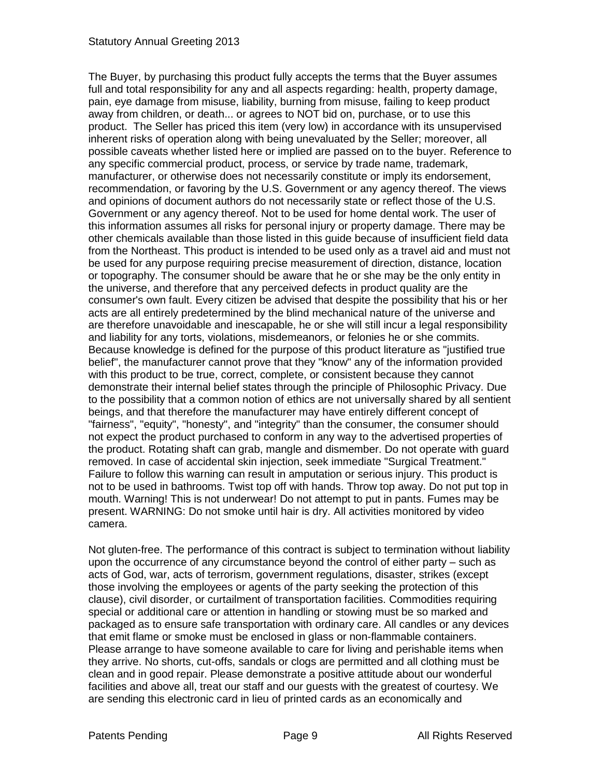The Buyer, by purchasing this product fully accepts the terms that the Buyer assumes full and total responsibility for any and all aspects regarding: health, property damage, pain, eye damage from misuse, liability, burning from misuse, failing to keep product away from children, or death... or agrees to NOT bid on, purchase, or to use this product. The Seller has priced this item (very low) in accordance with its unsupervised inherent risks of operation along with being unevaluated by the Seller; moreover, all possible caveats whether listed here or implied are passed on to the buyer. Reference to any specific commercial product, process, or service by trade name, trademark, manufacturer, or otherwise does not necessarily constitute or imply its endorsement, recommendation, or favoring by the U.S. Government or any agency thereof. The views and opinions of document authors do not necessarily state or reflect those of the U.S. Government or any agency thereof. Not to be used for home dental work. The user of this information assumes all risks for personal injury or property damage. There may be other chemicals available than those listed in this guide because of insufficient field data from the Northeast. This product is intended to be used only as a travel aid and must not be used for any purpose requiring precise measurement of direction, distance, location or topography. The consumer should be aware that he or she may be the only entity in the universe, and therefore that any perceived defects in product quality are the consumer's own fault. Every citizen be advised that despite the possibility that his or her acts are all entirely predetermined by the blind mechanical nature of the universe and are therefore unavoidable and inescapable, he or she will still incur a legal responsibility and liability for any torts, violations, misdemeanors, or felonies he or she commits. Because knowledge is defined for the purpose of this product literature as "justified true belief", the manufacturer cannot prove that they "know" any of the information provided with this product to be true, correct, complete, or consistent because they cannot demonstrate their internal belief states through the principle of Philosophic Privacy. Due to the possibility that a common notion of ethics are not universally shared by all sentient beings, and that therefore the manufacturer may have entirely different concept of "fairness", "equity", "honesty", and "integrity" than the consumer, the consumer should not expect the product purchased to conform in any way to the advertised properties of the product. Rotating shaft can grab, mangle and dismember. Do not operate with guard removed. In case of accidental skin injection, seek immediate "Surgical Treatment." Failure to follow this warning can result in amputation or serious injury. This product is not to be used in bathrooms. Twist top off with hands. Throw top away. Do not put top in mouth. Warning! This is not underwear! Do not attempt to put in pants. Fumes may be present. WARNING: Do not smoke until hair is dry. All activities monitored by video camera.

Not gluten-free. The performance of this contract is subject to termination without liability upon the occurrence of any circumstance beyond the control of either party – such as acts of God, war, acts of terrorism, government regulations, disaster, strikes (except those involving the employees or agents of the party seeking the protection of this clause), civil disorder, or curtailment of transportation facilities. Commodities requiring special or additional care or attention in handling or stowing must be so marked and packaged as to ensure safe transportation with ordinary care. All candles or any devices that emit flame or smoke must be enclosed in glass or non-flammable containers. Please arrange to have someone available to care for living and perishable items when they arrive. No shorts, cut-offs, sandals or clogs are permitted and all clothing must be clean and in good repair. Please demonstrate a positive attitude about our wonderful facilities and above all, treat our staff and our guests with the greatest of courtesy. We are sending this electronic card in lieu of printed cards as an economically and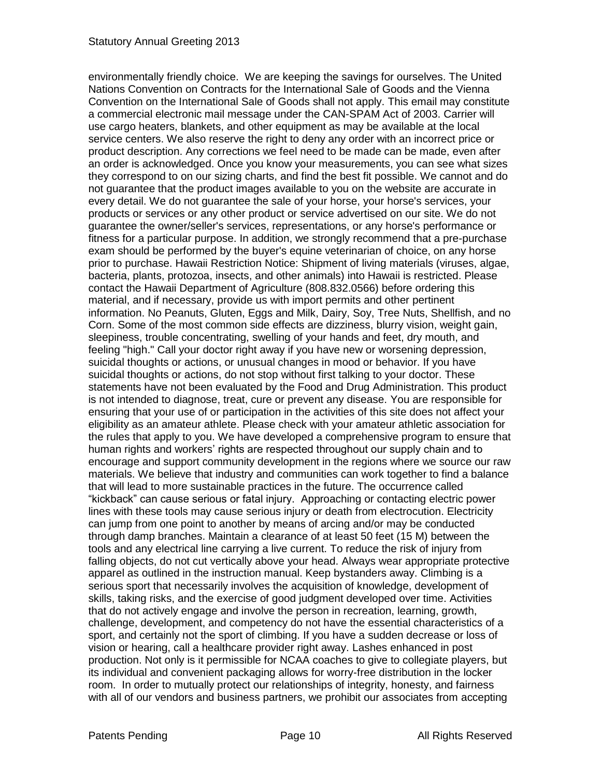environmentally friendly choice. We are keeping the savings for ourselves. The United Nations Convention on Contracts for the International Sale of Goods and the Vienna Convention on the International Sale of Goods shall not apply. This email may constitute a commercial electronic mail message under the CAN-SPAM Act of 2003. Carrier will use cargo heaters, blankets, and other equipment as may be available at the local service centers. We also reserve the right to deny any order with an incorrect price or product description. Any corrections we feel need to be made can be made, even after an order is acknowledged. Once you know your measurements, you can see what sizes they correspond to on our sizing charts, and find the best fit possible. We cannot and do not guarantee that the product images available to you on the website are accurate in every detail. We do not guarantee the sale of your horse, your horse's services, your products or services or any other product or service advertised on our site. We do not guarantee the owner/seller's services, representations, or any horse's performance or fitness for a particular purpose. In addition, we strongly recommend that a pre-purchase exam should be performed by the buyer's equine veterinarian of choice, on any horse prior to purchase. Hawaii Restriction Notice: Shipment of living materials (viruses, algae, bacteria, plants, protozoa, insects, and other animals) into Hawaii is restricted. Please contact the Hawaii Department of Agriculture (808.832.0566) before ordering this material, and if necessary, provide us with import permits and other pertinent information. No Peanuts, Gluten, Eggs and Milk, Dairy, Soy, Tree Nuts, Shellfish, and no Corn. Some of the most common side effects are dizziness, blurry vision, weight gain, sleepiness, trouble concentrating, swelling of your hands and feet, dry mouth, and feeling "high." Call your doctor right away if you have new or worsening depression, suicidal thoughts or actions, or unusual changes in mood or behavior. If you have suicidal thoughts or actions, do not stop without first talking to your doctor. These statements have not been evaluated by the Food and Drug Administration. This product is not intended to diagnose, treat, cure or prevent any disease. You are responsible for ensuring that your use of or participation in the activities of this site does not affect your eligibility as an amateur athlete. Please check with your amateur athletic association for the rules that apply to you. We have developed a comprehensive program to ensure that human rights and workers' rights are respected throughout our supply chain and to encourage and support community development in the regions where we source our raw materials. We believe that industry and communities can work together to find a balance that will lead to more sustainable practices in the future. The occurrence called "kickback" can cause serious or fatal injury. Approaching or contacting electric power lines with these tools may cause serious injury or death from electrocution. Electricity can jump from one point to another by means of arcing and/or may be conducted through damp branches. Maintain a clearance of at least 50 feet (15 M) between the tools and any electrical line carrying a live current. To reduce the risk of injury from falling objects, do not cut vertically above your head. Always wear appropriate protective apparel as outlined in the instruction manual. Keep bystanders away. Climbing is a serious sport that necessarily involves the acquisition of knowledge, development of skills, taking risks, and the exercise of good judgment developed over time. Activities that do not actively engage and involve the person in recreation, learning, growth, challenge, development, and competency do not have the essential characteristics of a sport, and certainly not the sport of climbing. If you have a sudden decrease or loss of vision or hearing, call a healthcare provider right away. Lashes enhanced in post production. Not only is it permissible for NCAA coaches to give to collegiate players, but its individual and convenient packaging allows for worry-free distribution in the locker room. In order to mutually protect our relationships of integrity, honesty, and fairness with all of our vendors and business partners, we prohibit our associates from accepting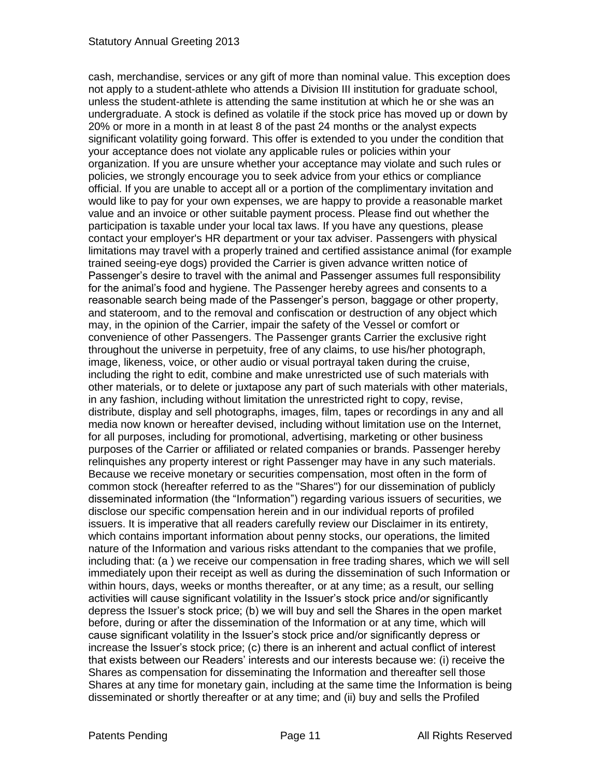cash, merchandise, services or any gift of more than nominal value. This exception does not apply to a student-athlete who attends a Division III institution for graduate school, unless the student-athlete is attending the same institution at which he or she was an undergraduate. A stock is defined as volatile if the stock price has moved up or down by 20% or more in a month in at least 8 of the past 24 months or the analyst expects significant volatility going forward. This offer is extended to you under the condition that your acceptance does not violate any applicable rules or policies within your organization. If you are unsure whether your acceptance may violate and such rules or policies, we strongly encourage you to seek advice from your ethics or compliance official. If you are unable to accept all or a portion of the complimentary invitation and would like to pay for your own expenses, we are happy to provide a reasonable market value and an invoice or other suitable payment process. Please find out whether the participation is taxable under your local tax laws. If you have any questions, please contact your employer's HR department or your tax adviser. Passengers with physical limitations may travel with a properly trained and certified assistance animal (for example trained seeing-eye dogs) provided the Carrier is given advance written notice of Passenger's desire to travel with the animal and Passenger assumes full responsibility for the animal's food and hygiene. The Passenger hereby agrees and consents to a reasonable search being made of the Passenger's person, baggage or other property, and stateroom, and to the removal and confiscation or destruction of any object which may, in the opinion of the Carrier, impair the safety of the Vessel or comfort or convenience of other Passengers. The Passenger grants Carrier the exclusive right throughout the universe in perpetuity, free of any claims, to use his/her photograph, image, likeness, voice, or other audio or visual portrayal taken during the cruise, including the right to edit, combine and make unrestricted use of such materials with other materials, or to delete or juxtapose any part of such materials with other materials, in any fashion, including without limitation the unrestricted right to copy, revise, distribute, display and sell photographs, images, film, tapes or recordings in any and all media now known or hereafter devised, including without limitation use on the Internet, for all purposes, including for promotional, advertising, marketing or other business purposes of the Carrier or affiliated or related companies or brands. Passenger hereby relinquishes any property interest or right Passenger may have in any such materials. Because we receive monetary or securities compensation, most often in the form of common stock (hereafter referred to as the "Shares") for our dissemination of publicly disseminated information (the "Information") regarding various issuers of securities, we disclose our specific compensation herein and in our individual reports of profiled issuers. It is imperative that all readers carefully review our Disclaimer in its entirety, which contains important information about penny stocks, our operations, the limited nature of the Information and various risks attendant to the companies that we profile, including that: (a ) we receive our compensation in free trading shares, which we will sell immediately upon their receipt as well as during the dissemination of such Information or within hours, days, weeks or months thereafter, or at any time; as a result, our selling activities will cause significant volatility in the Issuer's stock price and/or significantly depress the Issuer's stock price; (b) we will buy and sell the Shares in the open market before, during or after the dissemination of the Information or at any time, which will cause significant volatility in the Issuer's stock price and/or significantly depress or increase the Issuer's stock price; (c) there is an inherent and actual conflict of interest that exists between our Readers' interests and our interests because we: (i) receive the Shares as compensation for disseminating the Information and thereafter sell those Shares at any time for monetary gain, including at the same time the Information is being disseminated or shortly thereafter or at any time; and (ii) buy and sells the Profiled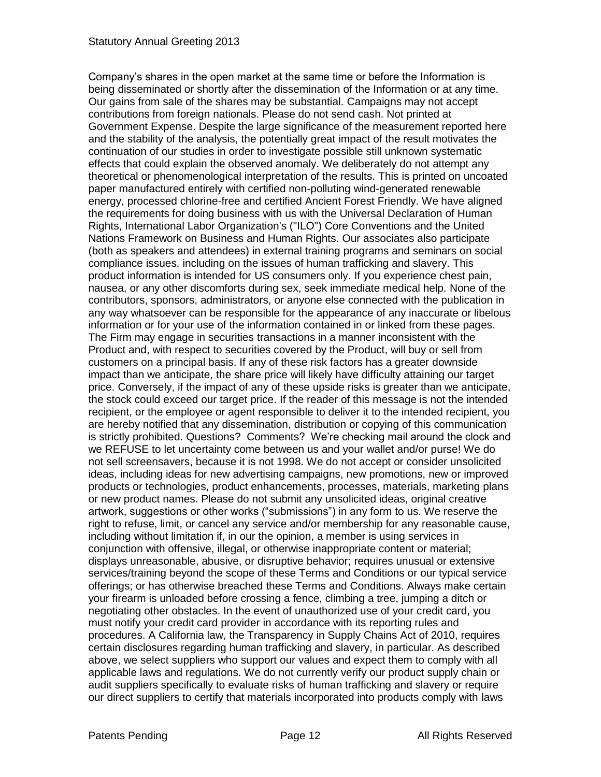Company's shares in the open market at the same time or before the Information is being disseminated or shortly after the dissemination of the Information or at any time. Our gains from sale of the shares may be substantial. Campaigns may not accept contributions from foreign nationals. Please do not send cash. Not printed at Government Expense. Despite the large significance of the measurement reported here and the stability of the analysis, the potentially great impact of the result motivates the continuation of our studies in order to investigate possible still unknown systematic effects that could explain the observed anomaly. We deliberately do not attempt any theoretical or phenomenological interpretation of the results. This is printed on uncoated paper manufactured entirely with certified non-polluting wind-generated renewable energy, processed chlorine-free and certified Ancient Forest Friendly. We have aligned the requirements for doing business with us with the Universal Declaration of Human Rights, International Labor Organization's ("ILO") Core Conventions and the United Nations Framework on Business and Human Rights. Our associates also participate (both as speakers and attendees) in external training programs and seminars on social compliance issues, including on the issues of human trafficking and slavery. This product information is intended for US consumers only. If you experience chest pain, nausea, or any other discomforts during sex, seek immediate medical help. None of the contributors, sponsors, administrators, or anyone else connected with the publication in any way whatsoever can be responsible for the appearance of any inaccurate or libelous information or for your use of the information contained in or linked from these pages. The Firm may engage in securities transactions in a manner inconsistent with the Product and, with respect to securities covered by the Product, will buy or sell from customers on a principal basis. If any of these risk factors has a greater downside impact than we anticipate, the share price will likely have difficulty attaining our target price. Conversely, if the impact of any of these upside risks is greater than we anticipate, the stock could exceed our target price. If the reader of this message is not the intended recipient, or the employee or agent responsible to deliver it to the intended recipient, you are hereby notified that any dissemination, distribution or copying of this communication is strictly prohibited. Questions? Comments? We're checking mail around the clock and we REFUSE to let uncertainty come between us and your wallet and/or purse! We do not sell screensavers, because it is not 1998. We do not accept or consider unsolicited ideas, including ideas for new advertising campaigns, new promotions, new or improved products or technologies, product enhancements, processes, materials, marketing plans or new product names. Please do not submit any unsolicited ideas, original creative artwork, suggestions or other works ("submissions") in any form to us. We reserve the right to refuse, limit, or cancel any service and/or membership for any reasonable cause, including without limitation if, in our the opinion, a member is using services in conjunction with offensive, illegal, or otherwise inappropriate content or material; displays unreasonable, abusive, or disruptive behavior; requires unusual or extensive services/training beyond the scope of these Terms and Conditions or our typical service offerings; or has otherwise breached these Terms and Conditions. Always make certain your firearm is unloaded before crossing a fence, climbing a tree, jumping a ditch or negotiating other obstacles. In the event of unauthorized use of your credit card, you must notify your credit card provider in accordance with its reporting rules and procedures. A California law, the Transparency in Supply Chains Act of 2010, requires certain disclosures regarding human trafficking and slavery, in particular. As described above, we select suppliers who support our values and expect them to comply with all applicable laws and regulations. We do not currently verify our product supply chain or audit suppliers specifically to evaluate risks of human trafficking and slavery or require our direct suppliers to certify that materials incorporated into products comply with laws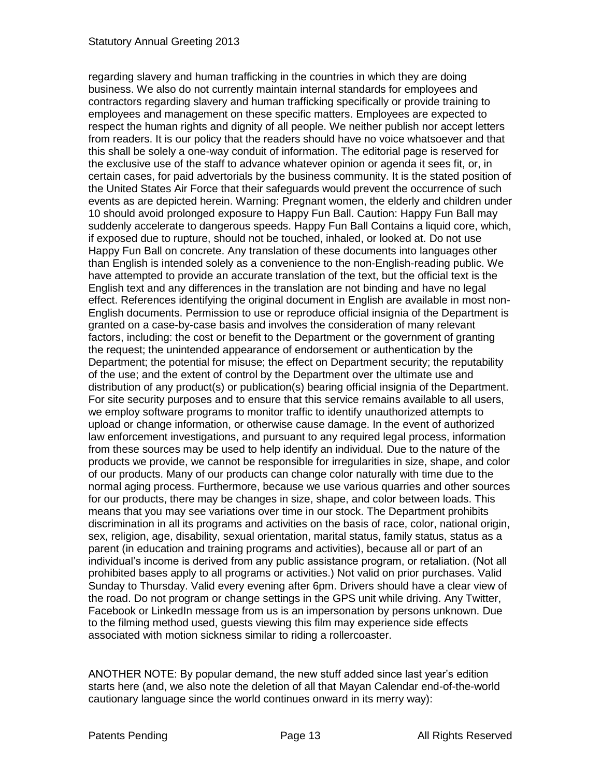regarding slavery and human trafficking in the countries in which they are doing business. We also do not currently maintain internal standards for employees and contractors regarding slavery and human trafficking specifically or provide training to employees and management on these specific matters. Employees are expected to respect the human rights and dignity of all people. We neither publish nor accept letters from readers. It is our policy that the readers should have no voice whatsoever and that this shall be solely a one-way conduit of information. The editorial page is reserved for the exclusive use of the staff to advance whatever opinion or agenda it sees fit, or, in certain cases, for paid advertorials by the business community. It is the stated position of the United States Air Force that their safeguards would prevent the occurrence of such events as are depicted herein. Warning: Pregnant women, the elderly and children under 10 should avoid prolonged exposure to Happy Fun Ball. Caution: Happy Fun Ball may suddenly accelerate to dangerous speeds. Happy Fun Ball Contains a liquid core, which, if exposed due to rupture, should not be touched, inhaled, or looked at. Do not use Happy Fun Ball on concrete. Any translation of these documents into languages other than English is intended solely as a convenience to the non-English-reading public. We have attempted to provide an accurate translation of the text, but the official text is the English text and any differences in the translation are not binding and have no legal effect. References identifying the original document in English are available in most non-English documents. Permission to use or reproduce official insignia of the Department is granted on a case-by-case basis and involves the consideration of many relevant factors, including: the cost or benefit to the Department or the government of granting the request; the unintended appearance of endorsement or authentication by the Department; the potential for misuse; the effect on Department security; the reputability of the use; and the extent of control by the Department over the ultimate use and distribution of any product(s) or publication(s) bearing official insignia of the Department. For site security purposes and to ensure that this service remains available to all users, we employ software programs to monitor traffic to identify unauthorized attempts to upload or change information, or otherwise cause damage. In the event of authorized law enforcement investigations, and pursuant to any required legal process, information from these sources may be used to help identify an individual. Due to the nature of the products we provide, we cannot be responsible for irregularities in size, shape, and color of our products. Many of our products can change color naturally with time due to the normal aging process. Furthermore, because we use various quarries and other sources for our products, there may be changes in size, shape, and color between loads. This means that you may see variations over time in our stock. The Department prohibits discrimination in all its programs and activities on the basis of race, color, national origin, sex, religion, age, disability, sexual orientation, marital status, family status, status as a parent (in education and training programs and activities), because all or part of an individual's income is derived from any public assistance program, or retaliation. (Not all prohibited bases apply to all programs or activities.) Not valid on prior purchases. Valid Sunday to Thursday. Valid every evening after 6pm. Drivers should have a clear view of the road. Do not program or change settings in the GPS unit while driving. Any Twitter, Facebook or LinkedIn message from us is an impersonation by persons unknown. Due to the filming method used, guests viewing this film may experience side effects associated with motion sickness similar to riding a rollercoaster.

ANOTHER NOTE: By popular demand, the new stuff added since last year's edition starts here (and, we also note the deletion of all that Mayan Calendar end-of-the-world cautionary language since the world continues onward in its merry way):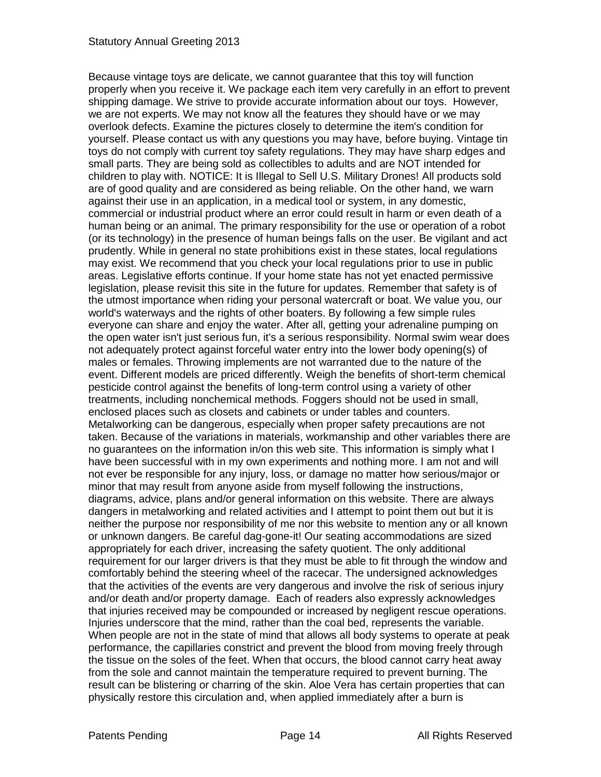Because vintage toys are delicate, we cannot guarantee that this toy will function properly when you receive it. We package each item very carefully in an effort to prevent shipping damage. We strive to provide accurate information about our toys. However, we are not experts. We may not know all the features they should have or we may overlook defects. Examine the pictures closely to determine the item's condition for yourself. Please contact us with any questions you may have, before buying. Vintage tin toys do not comply with current toy safety regulations. They may have sharp edges and small parts. They are being sold as collectibles to adults and are NOT intended for children to play with. NOTICE: It is Illegal to Sell U.S. Military Drones! All products sold are of good quality and are considered as being reliable. On the other hand, we warn against their use in an application, in a medical tool or system, in any domestic, commercial or industrial product where an error could result in harm or even death of a human being or an animal. The primary responsibility for the use or operation of a robot (or its technology) in the presence of human beings falls on the user. Be vigilant and act prudently. While in general no state prohibitions exist in these states, local regulations may exist. We recommend that you check your local regulations prior to use in public areas. Legislative efforts continue. If your home state has not yet enacted permissive legislation, please revisit this site in the future for updates. Remember that safety is of the utmost importance when riding your personal watercraft or boat. We value you, our world's waterways and the rights of other boaters. By following a few simple rules everyone can share and enjoy the water. After all, getting your adrenaline pumping on the open water isn't just serious fun, it's a serious responsibility. Normal swim wear does not adequately protect against forceful water entry into the lower body opening(s) of males or females. Throwing implements are not warranted due to the nature of the event. Different models are priced differently. Weigh the benefits of short-term chemical pesticide control against the benefits of long-term control using a variety of other treatments, including nonchemical methods. Foggers should not be used in small, enclosed places such as closets and cabinets or under tables and counters. Metalworking can be dangerous, especially when proper safety precautions are not taken. Because of the variations in materials, workmanship and other variables there are no guarantees on the information in/on this web site. This information is simply what I have been successful with in my own experiments and nothing more. I am not and will not ever be responsible for any injury, loss, or damage no matter how serious/major or minor that may result from anyone aside from myself following the instructions, diagrams, advice, plans and/or general information on this website. There are always dangers in metalworking and related activities and I attempt to point them out but it is neither the purpose nor responsibility of me nor this website to mention any or all known or unknown dangers. Be careful dag-gone-it! Our seating accommodations are sized appropriately for each driver, increasing the safety quotient. The only additional requirement for our larger drivers is that they must be able to fit through the window and comfortably behind the steering wheel of the racecar. The undersigned acknowledges that the activities of the events are very dangerous and involve the risk of serious injury and/or death and/or property damage. Each of readers also expressly acknowledges that injuries received may be compounded or increased by negligent rescue operations. Injuries underscore that the mind, rather than the coal bed, represents the variable. When people are not in the state of mind that allows all body systems to operate at peak performance, the capillaries constrict and prevent the blood from moving freely through the tissue on the soles of the feet. When that occurs, the blood cannot carry heat away from the sole and cannot maintain the temperature required to prevent burning. The result can be blistering or charring of the skin. Aloe Vera has certain properties that can physically restore this circulation and, when applied immediately after a burn is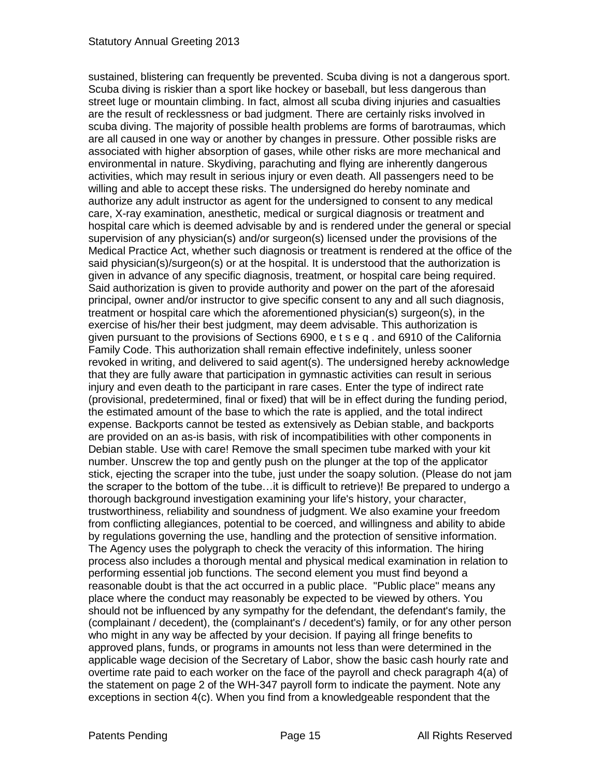sustained, blistering can frequently be prevented. Scuba diving is not a dangerous sport. Scuba diving is riskier than a sport like hockey or baseball, but less dangerous than street luge or mountain climbing. In fact, almost all scuba diving injuries and casualties are the result of recklessness or bad judgment. There are certainly risks involved in scuba diving. The majority of possible health problems are forms of barotraumas, which are all caused in one way or another by changes in pressure. Other possible risks are associated with higher absorption of gases, while other risks are more mechanical and environmental in nature. Skydiving, parachuting and flying are inherently dangerous activities, which may result in serious injury or even death. All passengers need to be willing and able to accept these risks. The undersigned do hereby nominate and authorize any adult instructor as agent for the undersigned to consent to any medical care, X-ray examination, anesthetic, medical or surgical diagnosis or treatment and hospital care which is deemed advisable by and is rendered under the general or special supervision of any physician(s) and/or surgeon(s) licensed under the provisions of the Medical Practice Act, whether such diagnosis or treatment is rendered at the office of the said physician(s)/surgeon(s) or at the hospital. It is understood that the authorization is given in advance of any specific diagnosis, treatment, or hospital care being required. Said authorization is given to provide authority and power on the part of the aforesaid principal, owner and/or instructor to give specific consent to any and all such diagnosis, treatment or hospital care which the aforementioned physician(s) surgeon(s), in the exercise of his/her their best judgment, may deem advisable. This authorization is given pursuant to the provisions of Sections 6900, e t s e q . and 6910 of the California Family Code. This authorization shall remain effective indefinitely, unless sooner revoked in writing, and delivered to said agent(s). The undersigned hereby acknowledge that they are fully aware that participation in gymnastic activities can result in serious injury and even death to the participant in rare cases. Enter the type of indirect rate (provisional, predetermined, final or fixed) that will be in effect during the funding period, the estimated amount of the base to which the rate is applied, and the total indirect expense. Backports cannot be tested as extensively as Debian stable, and backports are provided on an as-is basis, with risk of incompatibilities with other components in Debian stable. Use with care! Remove the small specimen tube marked with your kit number. Unscrew the top and gently push on the plunger at the top of the applicator stick, ejecting the scraper into the tube, just under the soapy solution. (Please do not jam the scraper to the bottom of the tube…it is difficult to retrieve)! Be prepared to undergo a thorough background investigation examining your life's history, your character, trustworthiness, reliability and soundness of judgment. We also examine your freedom from conflicting allegiances, potential to be coerced, and willingness and ability to abide by regulations governing the use, handling and the protection of sensitive information. The Agency uses the polygraph to check the veracity of this information. The hiring process also includes a thorough mental and physical medical examination in relation to performing essential job functions. The second element you must find beyond a reasonable doubt is that the act occurred in a public place. "Public place" means any place where the conduct may reasonably be expected to be viewed by others. You should not be influenced by any sympathy for the defendant, the defendant's family, the (complainant / decedent), the (complainant's / decedent's) family, or for any other person who might in any way be affected by your decision. If paying all fringe benefits to approved plans, funds, or programs in amounts not less than were determined in the applicable wage decision of the Secretary of Labor, show the basic cash hourly rate and overtime rate paid to each worker on the face of the payroll and check paragraph 4(a) of the statement on page 2 of the WH-347 payroll form to indicate the payment. Note any exceptions in section 4(c). When you find from a knowledgeable respondent that the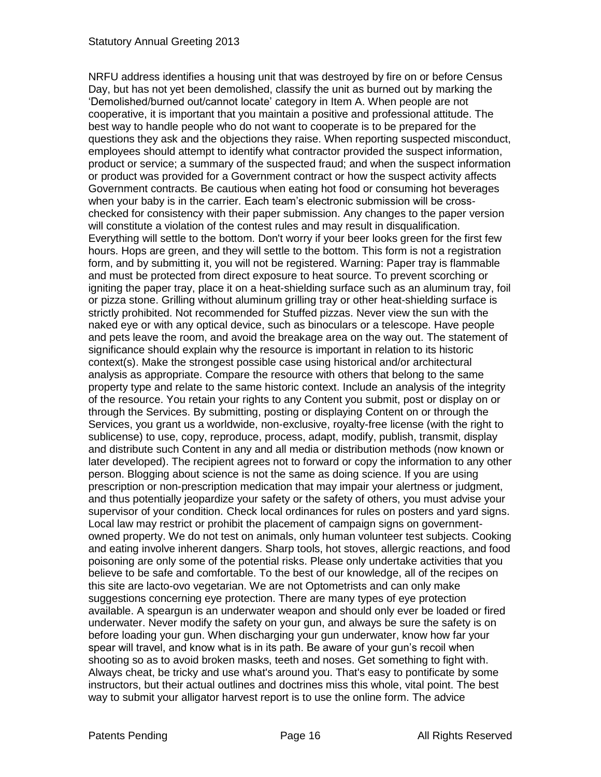NRFU address identifies a housing unit that was destroyed by fire on or before Census Day, but has not yet been demolished, classify the unit as burned out by marking the 'Demolished/burned out/cannot locate' category in Item A. When people are not cooperative, it is important that you maintain a positive and professional attitude. The best way to handle people who do not want to cooperate is to be prepared for the questions they ask and the objections they raise. When reporting suspected misconduct, employees should attempt to identify what contractor provided the suspect information, product or service; a summary of the suspected fraud; and when the suspect information or product was provided for a Government contract or how the suspect activity affects Government contracts. Be cautious when eating hot food or consuming hot beverages when your baby is in the carrier. Each team's electronic submission will be crosschecked for consistency with their paper submission. Any changes to the paper version will constitute a violation of the contest rules and may result in disqualification. Everything will settle to the bottom. Don't worry if your beer looks green for the first few hours. Hops are green, and they will settle to the bottom. This form is not a registration form, and by submitting it, you will not be registered. Warning: Paper tray is flammable and must be protected from direct exposure to heat source. To prevent scorching or igniting the paper tray, place it on a heat-shielding surface such as an aluminum tray, foil or pizza stone. Grilling without aluminum grilling tray or other heat-shielding surface is strictly prohibited. Not recommended for Stuffed pizzas. Never view the sun with the naked eye or with any optical device, such as binoculars or a telescope. Have people and pets leave the room, and avoid the breakage area on the way out. The statement of significance should explain why the resource is important in relation to its historic context(s). Make the strongest possible case using historical and/or architectural analysis as appropriate. Compare the resource with others that belong to the same property type and relate to the same historic context. Include an analysis of the integrity of the resource. You retain your rights to any Content you submit, post or display on or through the Services. By submitting, posting or displaying Content on or through the Services, you grant us a worldwide, non-exclusive, royalty-free license (with the right to sublicense) to use, copy, reproduce, process, adapt, modify, publish, transmit, display and distribute such Content in any and all media or distribution methods (now known or later developed). The recipient agrees not to forward or copy the information to any other person. Blogging about science is not the same as doing science. If you are using prescription or non-prescription medication that may impair your alertness or judgment, and thus potentially jeopardize your safety or the safety of others, you must advise your supervisor of your condition. Check local ordinances for rules on posters and yard signs. Local law may restrict or prohibit the placement of campaign signs on governmentowned property. We do not test on animals, only human volunteer test subjects. Cooking and eating involve inherent dangers. Sharp tools, hot stoves, allergic reactions, and food poisoning are only some of the potential risks. Please only undertake activities that you believe to be safe and comfortable. To the best of our knowledge, all of the recipes on this site are lacto-ovo vegetarian. We are not Optometrists and can only make suggestions concerning eye protection. There are many types of eye protection available. A speargun is an underwater weapon and should only ever be loaded or fired underwater. Never modify the safety on your gun, and always be sure the safety is on before loading your gun. When discharging your gun underwater, know how far your spear will travel, and know what is in its path. Be aware of your gun's recoil when shooting so as to avoid broken masks, teeth and noses. Get something to fight with. Always cheat, be tricky and use what's around you. That's easy to pontificate by some instructors, but their actual outlines and doctrines miss this whole, vital point. The best way to submit your alligator harvest report is to use the online form. The advice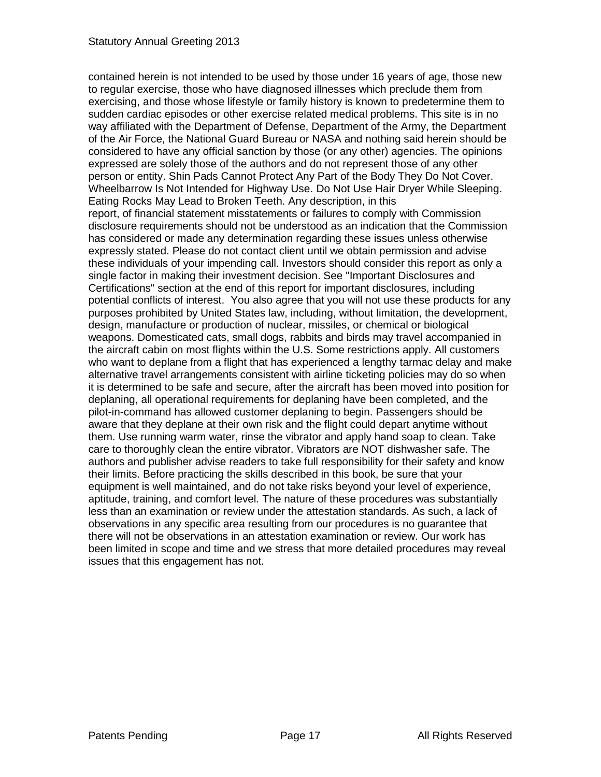contained herein is not intended to be used by those under 16 years of age, those new to regular exercise, those who have diagnosed illnesses which preclude them from exercising, and those whose lifestyle or family history is known to predetermine them to sudden cardiac episodes or other exercise related medical problems. This site is in no way affiliated with the Department of Defense, Department of the Army, the Department of the Air Force, the National Guard Bureau or NASA and nothing said herein should be considered to have any official sanction by those (or any other) agencies. The opinions expressed are solely those of the authors and do not represent those of any other person or entity. Shin Pads Cannot Protect Any Part of the Body They Do Not Cover. Wheelbarrow Is Not Intended for Highway Use. Do Not Use Hair Dryer While Sleeping. Eating Rocks May Lead to Broken Teeth. Any description, in this report, of financial statement misstatements or failures to comply with Commission disclosure requirements should not be understood as an indication that the Commission has considered or made any determination regarding these issues unless otherwise expressly stated. Please do not contact client until we obtain permission and advise these individuals of your impending call. Investors should consider this report as only a single factor in making their investment decision. See "Important Disclosures and Certifications" section at the end of this report for important disclosures, including potential conflicts of interest. You also agree that you will not use these products for any purposes prohibited by United States law, including, without limitation, the development, design, manufacture or production of nuclear, missiles, or chemical or biological weapons. Domesticated cats, small dogs, rabbits and birds may travel accompanied in the aircraft cabin on most flights within the U.S. Some restrictions apply. All customers who want to deplane from a flight that has experienced a lengthy tarmac delay and make alternative travel arrangements consistent with airline ticketing policies may do so when it is determined to be safe and secure, after the aircraft has been moved into position for deplaning, all operational requirements for deplaning have been completed, and the pilot-in-command has allowed customer deplaning to begin. Passengers should be aware that they deplane at their own risk and the flight could depart anytime without them. Use running warm water, rinse the vibrator and apply hand soap to clean. Take care to thoroughly clean the entire vibrator. Vibrators are NOT dishwasher safe. The authors and publisher advise readers to take full responsibility for their safety and know their limits. Before practicing the skills described in this book, be sure that your equipment is well maintained, and do not take risks beyond your level of experience, aptitude, training, and comfort level. The nature of these procedures was substantially less than an examination or review under the attestation standards. As such, a lack of observations in any specific area resulting from our procedures is no guarantee that there will not be observations in an attestation examination or review. Our work has been limited in scope and time and we stress that more detailed procedures may reveal issues that this engagement has not.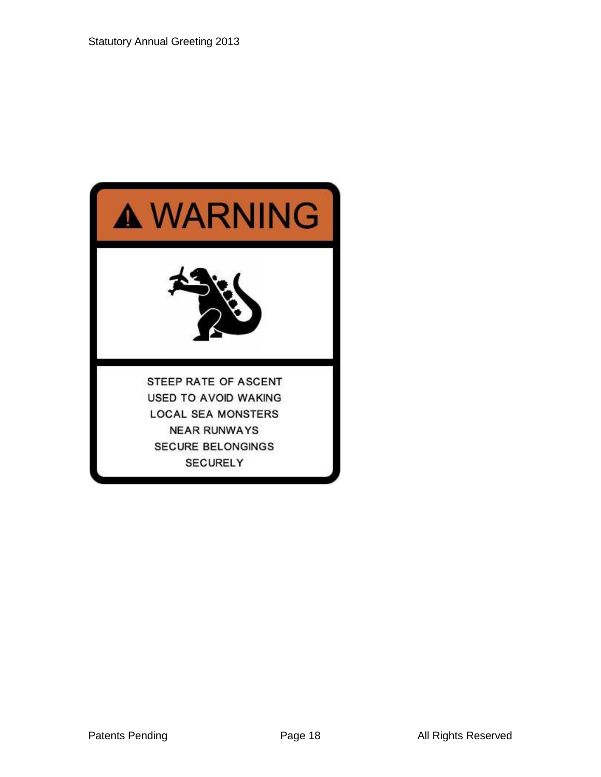